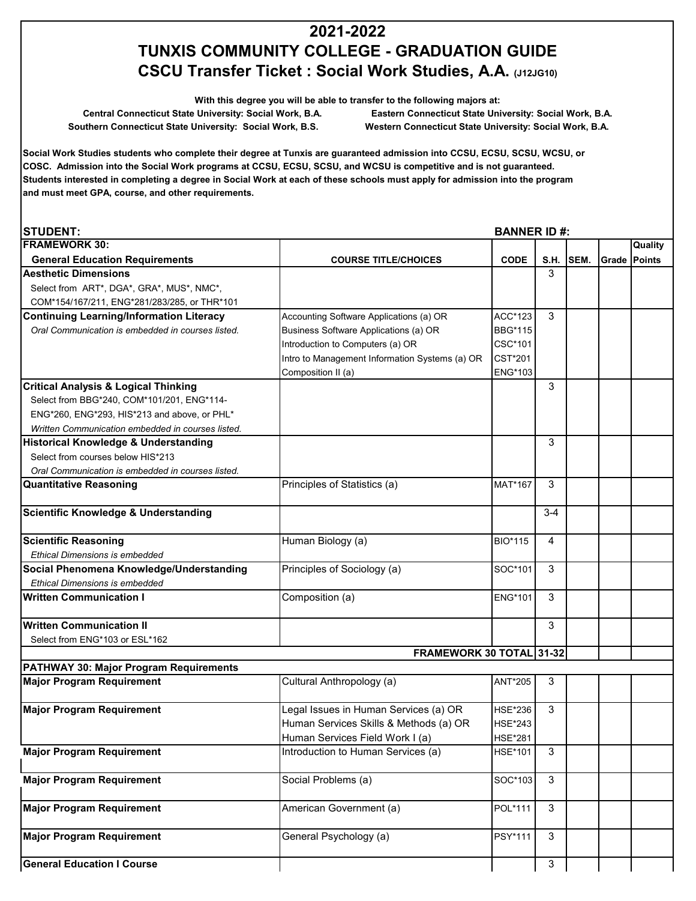## **2021-2022 TUNXIS COMMUNITY COLLEGE - GRADUATION GUIDE CSCU Transfer Ticket : Social Work Studies, A.A. (J12JG10)**

**With this degree you will be able to transfer to the following majors at:**

**Southern Connecticut State University: Social Work, B.S. Western Connecticut State University: Social Work, B.A.** 

**Central Connecticut State University: Social Work, B.A. Eastern Connecticut State University: Social Work, B.A.**

**Students interested in completing a degree in Social Work at each of these schools must apply for admission into the program and must meet GPA, course, and other requirements. Social Work Studies students who complete their degree at Tunxis are guaranteed admission into CCSU, ECSU, SCSU, WCSU, or COSC. Admission into the Social Work programs at CCSU, ECSU, SCSU, and WCSU is competitive and is not guaranteed.**

| <b>STUDENT:</b>                                   | <b>BANNER ID#:</b>                             |                |              |           |                     |         |
|---------------------------------------------------|------------------------------------------------|----------------|--------------|-----------|---------------------|---------|
| <b>FRAMEWORK 30:</b>                              |                                                |                |              |           |                     | Quality |
| <b>General Education Requirements</b>             | <b>COURSE TITLE/CHOICES</b>                    | <b>CODE</b>    |              | S.H. SEM. | <b>Grade Points</b> |         |
| <b>Aesthetic Dimensions</b>                       |                                                |                | 3            |           |                     |         |
| Select from ART*, DGA*, GRA*, MUS*, NMC*,         |                                                |                |              |           |                     |         |
| COM*154/167/211, ENG*281/283/285, or THR*101      |                                                |                |              |           |                     |         |
| <b>Continuing Learning/Information Literacy</b>   | Accounting Software Applications (a) OR        | ACC*123        | 3            |           |                     |         |
| Oral Communication is embedded in courses listed. | Business Software Applications (a) OR          | <b>BBG*115</b> |              |           |                     |         |
|                                                   | Introduction to Computers (a) OR               | CSC*101        |              |           |                     |         |
|                                                   | Intro to Management Information Systems (a) OR | <b>CST*201</b> |              |           |                     |         |
|                                                   | Composition II (a)                             | <b>ENG*103</b> |              |           |                     |         |
| <b>Critical Analysis &amp; Logical Thinking</b>   |                                                |                | 3            |           |                     |         |
| Select from BBG*240, COM*101/201, ENG*114-        |                                                |                |              |           |                     |         |
| ENG*260, ENG*293, HIS*213 and above, or PHL*      |                                                |                |              |           |                     |         |
| Written Communication embedded in courses listed. |                                                |                |              |           |                     |         |
| <b>Historical Knowledge &amp; Understanding</b>   |                                                |                | 3            |           |                     |         |
| Select from courses below HIS*213                 |                                                |                |              |           |                     |         |
| Oral Communication is embedded in courses listed. |                                                |                |              |           |                     |         |
| <b>Quantitative Reasoning</b>                     | Principles of Statistics (a)                   | MAT*167        | 3            |           |                     |         |
| <b>Scientific Knowledge &amp; Understanding</b>   |                                                |                | $3 - 4$      |           |                     |         |
| <b>Scientific Reasoning</b>                       | Human Biology (a)                              | <b>BIO*115</b> | 4            |           |                     |         |
| <b>Ethical Dimensions is embedded</b>             |                                                |                |              |           |                     |         |
| Social Phenomena Knowledge/Understanding          | Principles of Sociology (a)                    | SOC*101        | 3            |           |                     |         |
| <b>Ethical Dimensions is embedded</b>             |                                                |                |              |           |                     |         |
| <b>Written Communication I</b>                    | Composition (a)                                | <b>ENG*101</b> | 3            |           |                     |         |
| <b>Written Communication II</b>                   |                                                |                | 3            |           |                     |         |
| Select from ENG*103 or ESL*162                    |                                                |                |              |           |                     |         |
|                                                   | FRAMEWORK 30 TOTAL 31-32                       |                |              |           |                     |         |
| <b>PATHWAY 30: Major Program Requirements</b>     |                                                |                |              |           |                     |         |
| <b>Major Program Requirement</b>                  | Cultural Anthropology (a)                      | <b>ANT*205</b> | 3            |           |                     |         |
| <b>Major Program Requirement</b>                  | Legal Issues in Human Services (a) OR          | <b>HSE*236</b> | 3            |           |                     |         |
|                                                   | Human Services Skills & Methods (a) OR         | <b>HSE*243</b> |              |           |                     |         |
|                                                   | Human Services Field Work I (a)                | <b>HSE*281</b> |              |           |                     |         |
| <b>Major Program Requirement</b>                  | Introduction to Human Services (a)             | <b>HSE*101</b> | 3            |           |                     |         |
| <b>Major Program Requirement</b>                  | Social Problems (a)                            | SOC*103        | 3            |           |                     |         |
| <b>Major Program Requirement</b>                  | American Government (a)                        | POL*111        | $\mathbf{3}$ |           |                     |         |
| <b>Major Program Requirement</b>                  | General Psychology (a)                         | PSY*111        | 3            |           |                     |         |
| <b>General Education I Course</b>                 |                                                |                | 3            |           |                     |         |